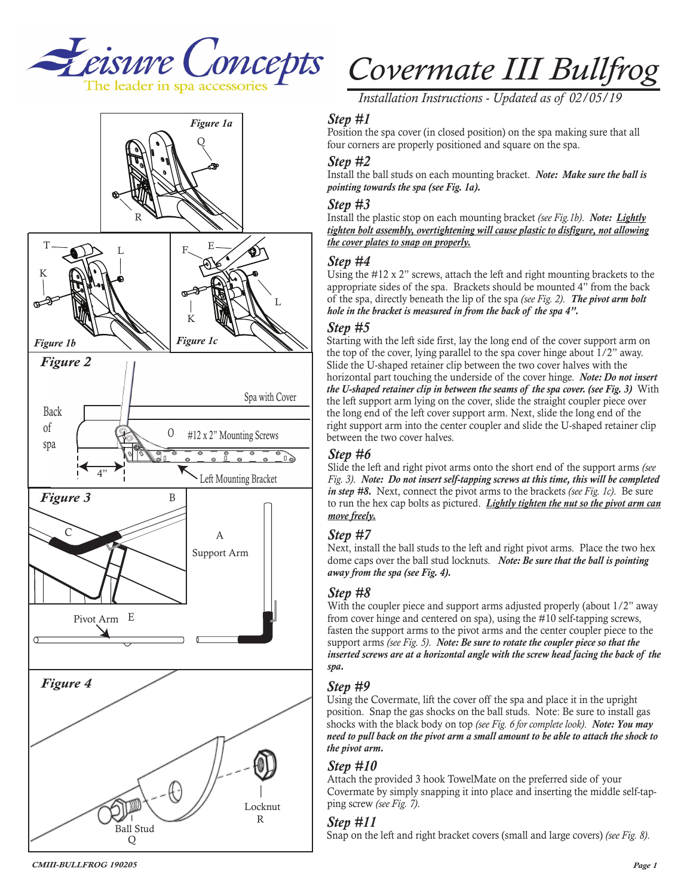



*Installation Instructions - Updated as of 02/05/19*

# *Step #1*

Position the spa cover (in closed position) on the spa making sure that all four corners are properly positioned and square on the spa.

#### *Step #2*

Install the ball studs on each mounting bracket. *Note: Make sure the ball is pointing towards the spa (see Fig. 1a).*

#### *Step #3*

Install the plastic stop on each mounting bracket *(see Fig.1b)*. *Note: Lightly tighten bolt assembly, overtightening will cause plastic to disfigure, not allowing the cover plates to snap on properly.*

#### *Step #4*

Using the #12 x 2" screws, attach the left and right mounting brackets to the appropriate sides of the spa. Brackets should be mounted 4" from the back of the spa, directly beneath the lip of the spa *(see Fig. 2)*. *The pivot arm bolt hole in the bracket is measured in from the back of the spa 4".*

#### *Step #5*

Starting with the left side first, lay the long end of the cover support arm on the top of the cover, lying parallel to the spa cover hinge about 1/2" away. Slide the U-shaped retainer clip between the two cover halves with the horizontal part touching the underside of the cover hinge. *Note: Do not insert the U-shaped retainer clip in between the seams of the spa cover. (see Fig. 3)* With the left support arm lying on the cover, slide the straight coupler piece over the long end of the left cover support arm. Next, slide the long end of the right support arm into the center coupler and slide the U-shaped retainer clip between the two cover halves.

# *Step #6*

Slide the left and right pivot arms onto the short end of the support arms *(see Fig. 3)*. *Note: Do not insert self-tapping screws at this time, this will be completed in step #8.* Next, connect the pivot arms to the brackets *(see Fig. 1c)*. Be sure to run the hex cap bolts as pictured. *Lightly tighten the nut so the pivot arm can move freely.*

# *Step #7*

Next, install the ball studs to the left and right pivot arms. Place the two hex dome caps over the ball stud locknuts. *Note: Be sure that the ball is pointing away from the spa (see Fig. 4).*

# *Step #8*

With the coupler piece and support arms adjusted properly (about  $1/2$ " away from cover hinge and centered on spa), using the #10 self-tapping screws, fasten the support arms to the pivot arms and the center coupler piece to the support arms *(see Fig. 5)*. *Note: Be sure to rotate the coupler piece so that the*  inserted screws are at a horizontal angle with the screw head facing the back of the *spa.* 

# *Step #9*

Using the Covermate, lift the cover off the spa and place it in the upright position. Snap the gas shocks on the ball studs. Note: Be sure to install gas shocks with the black body on top *(see Fig. 6 for complete look)*. *Note: You may need to pull back on the pivot arm a small amount to be able to attach the shock to the pivot arm.*

# *Step #10*

Attach the provided 3 hook TowelMate on the preferred side of your Covermate by simply snapping it into place and inserting the middle self-tapping screw *(see Fig. 7)*.

#### *Step #11*

Snap on the left and right bracket covers (small and large covers) *(see Fig. 8)*.